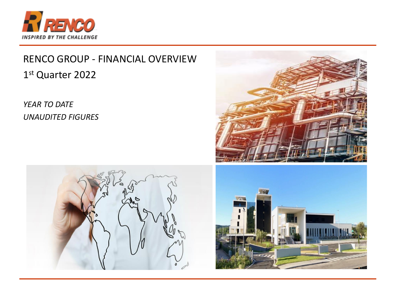

# RENCO GROUP - FINANCIAL OVERVIEW 1st Quarter 2022

**YEAR TO DATE UNAUDITED FIGURES** 





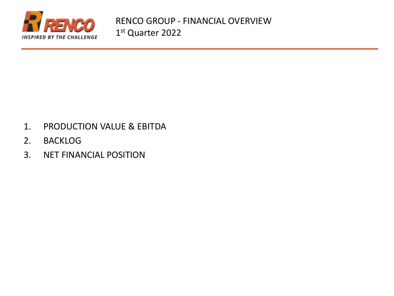

- 1. PRODUCTION VALUE & EBITDA
- 2. BACKLOG
- 3. NET FINANCIAL POSITION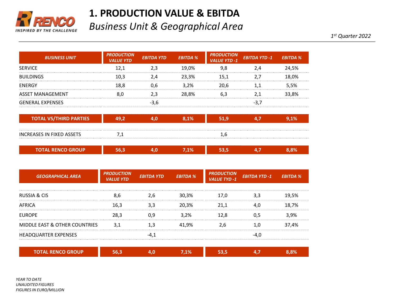

#### **1. PRODUCTION VALUE & EBITDA**

*Business Unit & Geographical Area*

*1 st Quarter 2022*

| <b>BUSINESS UNIT</b>          | <b>PRODUCTION</b><br><b>VALUE YTD</b> | <b>EBITDA YTD</b> | <b>EBITDA %</b> | <b>PRODUCTION</b><br><b>VALUE YTD -1</b> | <b>EBITDA YTD-1</b> | <b>EBITDA %</b> |
|-------------------------------|---------------------------------------|-------------------|-----------------|------------------------------------------|---------------------|-----------------|
| <b>SERVICE</b>                | 12,1                                  | 2,3               | 19,0%           | 9,8                                      | 2,4                 | 24,5%           |
| <b>BUILDINGS</b>              | 10,3                                  | 2,4               | 23,3%           | 15,1                                     | 2,7                 | 18,0%           |
| <b>ENERGY</b>                 | 18,8                                  | 0,6               | 3,2%            | 20,6                                     | 1,1                 | 5,5%            |
| ASSET MANAGEMENT              | 8,0                                   | 2,3               | 28,8%           | 6,3                                      | 2,1                 | 33,8%           |
| <b>GENERAL EXPENSES</b>       |                                       | $-3,6$            |                 |                                          | $-3,7$              |                 |
| <b>TOTAL VS/THIRD PARTIES</b> | 49,2                                  | 4,0               | 8,1%            | 51,9                                     | 4,7                 | 9,1%            |
| INCREASES IN FIXED ASSETS     | 7,1                                   |                   |                 | 1,6                                      |                     |                 |
| <b>TOTAL RENCO GROUP</b>      | 56,3                                  | 4,0               | 7,1%            | 53,5                                     | 4,7                 | 8,8%            |
| <b>GEOGRAPHICAL AREA</b>      | <b>PRODUCTION</b><br><b>VALUE YTD</b> | <b>EBITDA YTD</b> | <b>EBITDA %</b> | <b>PRODUCTION</b><br><b>VALUE TYD -1</b> | <b>EBITDA YTD-1</b> | <b>EBITDA %</b> |

| HEADQUARTER EXPENSES                     |      |       |  |       |
|------------------------------------------|------|-------|--|-------|
| <b>MIDDLE EAST &amp; OTHER COUNTRIES</b> |      | 41,9% |  | 37,4% |
| <b>EUROPE</b>                            |      | 3.2%  |  | 3.9%  |
| AFRICA                                   | 16.3 | 20.3% |  | 18,7% |
| <b>RUSSIA &amp; CIS</b>                  |      | 30,3% |  | 19,5% |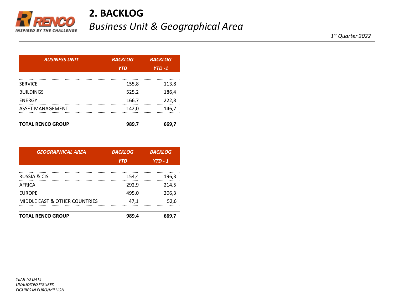

## **2. BACKLOG** *Business Unit & Geographical Area*

| <b>BUSINESS UNIT</b>     | <b>BACKLOG</b> | <b>BACKLOG</b> |  |
|--------------------------|----------------|----------------|--|
|                          | <b>YTD</b>     | $YTD - 1$      |  |
| <b>SERVICE</b>           | 155,8          | 113,8          |  |
| <b>BUILDINGS</b>         | 525,2          | 186,4          |  |
| <b>ENERGY</b>            | 166,7          | 222,8          |  |
| <b>ASSET MANAGEMENT</b>  | 142,0          | 146,7          |  |
| <b>TOTAL RENCO GROUP</b> | 989,7          | 669,7          |  |

| <b>GEOGRAPHICAL AREA</b>                 | <b>BACKLOG</b> | <b>BACKLOG</b> |  |
|------------------------------------------|----------------|----------------|--|
|                                          | <b>YTD</b>     | $YTD - 1$      |  |
| RUSSIA & CIS                             | 154,4          | 196,3          |  |
| AFRICA                                   | 292,9          | 214,5          |  |
| <b>EUROPE</b>                            | 495,0          | 206,3          |  |
| <b>MIDDLE EAST &amp; OTHER COUNTRIES</b> | 47,1           | 52,6           |  |
| <b>TOTAL RENCO GROUP</b>                 | 989,4          | 669,7          |  |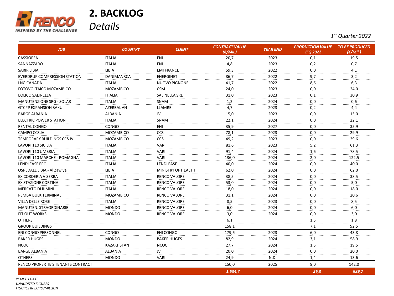

### **2. BACKLOG**  *Details*

*1 st Quarter 2022*

| <b>JOB</b>                          | <b>COUNTRY</b>   | <b>CLIENT</b>        | <b>CONTRACT VALUE</b><br>$(\epsilon$ /Mil.) | <b>YEAR END</b> | <b>PRODUCTION VALUE</b><br>1°O 2022 | <b>TO BE PRODUCED</b><br>(€/Mil.) |
|-------------------------------------|------------------|----------------------|---------------------------------------------|-----------------|-------------------------------------|-----------------------------------|
| CASSIOPEA                           | <b>ITALIA</b>    | ENI                  | 20,7                                        | 2023            | 0,1                                 | 19,5                              |
| SANNAZZARO                          | <b>ITALIA</b>    | ENI                  | 4,8                                         | 2023            | 0,2                                 | 0,7                               |
| SARIR LIBIA                         | LIBIA            | <b>EMI FRANCE</b>    | 59,3                                        | 2022            | 0,0                                 | 4,1                               |
| <b>EVERDRUP COMPRESSION STATION</b> | DANIMANRCA       | <b>ENERGINET</b>     | 86,7                                        | 2022            | 9,7                                 | 3,2                               |
| LNG CANADA                          | <b>ITALIA</b>    | <b>NUOVO PIGNONE</b> | 41,7                                        | 2022            | 8,6                                 | 6,3                               |
| FOTOVOLTAICO MOZAMBICO              | <b>MOZAMBICO</b> | <b>CSM</b>           | 24,0                                        | 2023            | 0,0                                 | 24,0                              |
| EOLICO SALINELLA                    | <b>ITIALIA</b>   | SALINELLA SRL        | 31,0                                        | 2023            | 0,1                                 | 30,9                              |
| <b>MANUTENZIONE SRG - SOLAR</b>     | <b>ITALIA</b>    | SNAM                 | 1,2                                         | 2024            | 0,0                                 | 0,6                               |
| <b>GTCPP EXPANSION BAKU</b>         | AZERBAIJAN       | LLAMREI              | 4,7                                         | 2023            | 0,2                                 | 4,4                               |
| <b>BARGE ALBANIA</b>                | ALBANIA          | JV                   | 15,0                                        | 2023            | 0,0                                 | 15,0                              |
| ELECTRIC POWER STATION              | <b>ITALIA</b>    | <b>SNAM</b>          | 22,1                                        | 2024            | 0,0                                 | 22,1                              |
| RENTAL CONGO                        | CONGO            | ENI                  | 35,9                                        | 2027            | 0,0                                 | 35,9                              |
| CAMPO CCS JV                        | <b>MOZAMBICO</b> | CCS                  | 78,1                                        | 2023            | 0,0                                 | 29,9                              |
| TEMPORARY BUILDINGS CCS JV          | <b>MOZAMBICO</b> | CCS                  | 49,2                                        | 2023            | 0,0                                 | 29,6                              |
| LAVORI 110 SICILIA                  | <b>ITALIA</b>    | <b>VARI</b>          | 81,6                                        | 2023            | 5,2                                 | 61,3                              |
| LAVORI 110 UMBRIA                   | <b>ITALIA</b>    | <b>VARI</b>          | 91,4                                        | 2024            | 1,6                                 | 78,5                              |
| LAVORI 110 MARCHE - ROMAGNA         | <b>ITALIA</b>    | <b>VARI</b>          | 136,0                                       | 2024            | 2,0                                 | 122,5                             |
| LENDLEASE EPC                       | <b>ITALIA</b>    | LENDLEASE            | 40,0                                        | 2024            | 0,0                                 | 40,0                              |
| OSPEDALE LIBIA - Al Zawiya          | LIBIA            | MINISTRY OF HEALTH   | 62,0                                        | 2024            | 0,0                                 | 62,0                              |
| EX CORDERIA VISERBA                 | <b>ITALIA</b>    | <b>RENCO VALORE</b>  | 38,5                                        | 2024            | 0,0                                 | 38,5                              |
| EX STAZIONE CORTINA                 | <b>ITALIA</b>    | <b>RENCO VALORE</b>  | 53,0                                        | 2024            | 0,0                                 | 5,0                               |
| MERCATO DI RIMINI                   | <b>ITALIA</b>    | <b>RENCO VALORE</b>  | 18,0                                        | 2024            | 0,0                                 | 18,0                              |
| PEMBA BULK TERMINAL                 | <b>MOZAMBICO</b> | <b>RENCO VALORE</b>  | 31,1                                        | 2024            | 0,0                                 | 20,6                              |
| VILLA DELLE ROSE                    | <b>ITALIA</b>    | <b>RENCO VALORE</b>  | 8,5                                         | 2023            | 0,0                                 | 8,5                               |
| MANUTEN. STRAORDINARIE              | <b>MONDO</b>     | <b>RENCO VALORE</b>  | 6,0                                         | 2024            | 0,0                                 | 6,0                               |
| FIT OUT WORKS                       | <b>MONDO</b>     | <b>RENCO VALORE</b>  | 3,0                                         | 2024            | 0,0                                 | 3,0                               |
| <b>OTHERS</b>                       |                  |                      | 6,1                                         |                 | 1,5                                 | 1,8                               |
| <b>GROUP BUILDINGS</b>              |                  |                      | 158,1                                       |                 | 7,1                                 | 92,5                              |
| <b>ENI CONGO PERSONNEL</b>          | CONGO            | <b>ENI CONGO</b>     | 179,6                                       | 2023            | 6,0                                 | 43,8                              |
| <b>BAKER HUGES</b>                  | <b>MONDO</b>     | <b>BAKER HUGES</b>   | 82,9                                        | 2024            | 3,1                                 | 58,9                              |
| NCOC                                | KAZAKHSTAN       | <b>NCOC</b>          | 27,7                                        | 2024            | 1,5                                 | 19,5                              |
| <b>BARGE ALBANIA</b>                | <b>ALBANIA</b>   | JV                   | 20,0                                        | 2024            | 0,0                                 | 20,0                              |
| <b>OTHERS</b>                       | <b>MONDO</b>     | <b>VARI</b>          | 24,9                                        | N.D.            | 1,4                                 | 13,6                              |
| RENCO PROPERTIE'S TENANTS CONTRACT  |                  |                      | 150,0                                       | 2025            | 8,0                                 | 142,0                             |
|                                     |                  |                      | 1.534,7                                     |                 | 56,3                                | 989,7                             |

*YEAR TO DATE UNAUDITED FIGURES FIGURES IN EURO/MILLION*